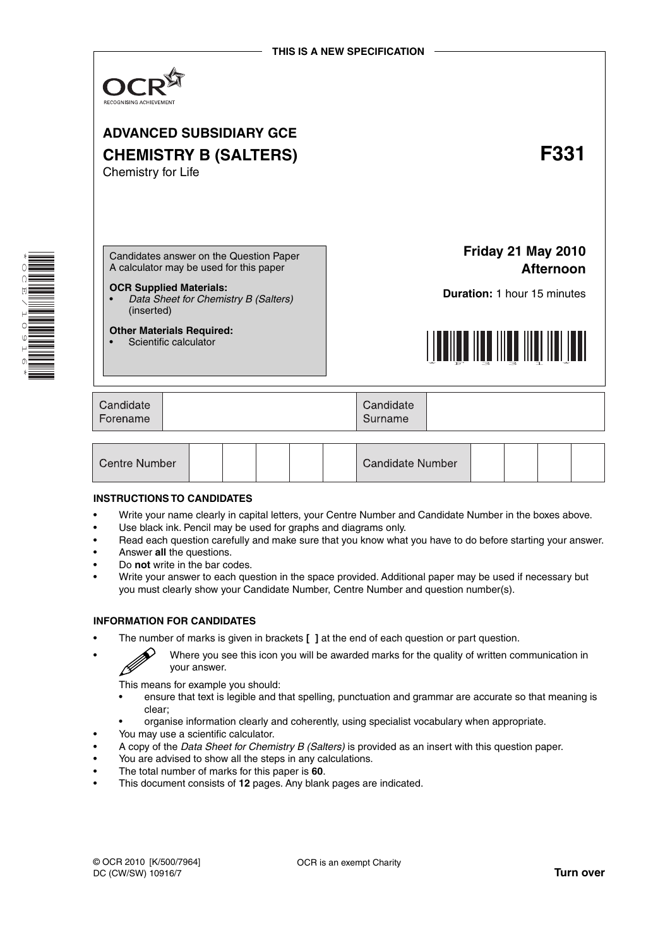

| l Centre Number |  |  |  |  |  | Candidate Number |  |  |  |  |
|-----------------|--|--|--|--|--|------------------|--|--|--|--|
|-----------------|--|--|--|--|--|------------------|--|--|--|--|

#### **INSTRUCTIONS TO CANDIDATES**

\* OQ E  $\overline{\phantom{0}}$  $\overline{a}$ 0<br>७  $\overline{a}$ 0 \*

- Write your name clearly in capital letters, your Centre Number and Candidate Number in the boxes above.
- Use black ink. Pencil may be used for graphs and diagrams only.
- Read each question carefully and make sure that you know what you have to do before starting your answer.
- Answer **all** the questions.
- Do **not** write in the bar codes.
- Write your answer to each question in the space provided. Additional paper may be used if necessary but you must clearly show your Candidate Number, Centre Number and question number(s).

#### **INFORMATION FOR CANDIDATES**

B

• The number of marks is given in brackets **[ ]** at the end of each question or part question.

• Where you see this icon you will be awarded marks for the quality of written communication in your answer.

This means for example you should:

- ensure that text is legible and that spelling, punctuation and grammar are accurate so that meaning is clear;
- organise information clearly and coherently, using specialist vocabulary when appropriate.
- You may use a scientific calculator.
- A copy of the *Data Sheet for Chemistry B (Salters)* is provided as an insert with this question paper.
- You are advised to show all the steps in any calculations.
- The total number of marks for this paper is **60**.
- This document consists of **12** pages. Any blank pages are indicated.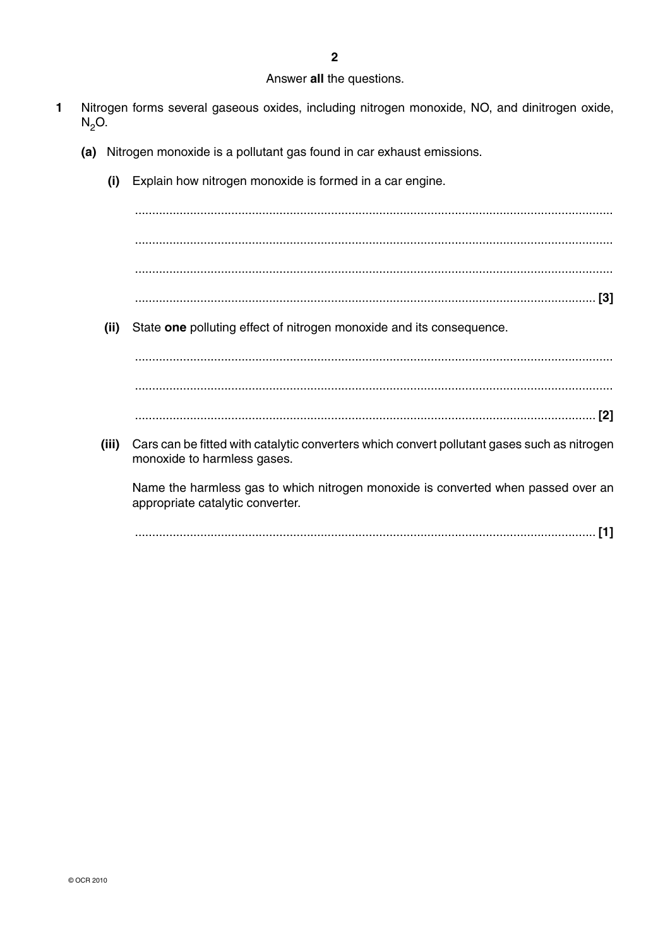### Answer all the questions.

- $\blacksquare$ Nitrogen forms several gaseous oxides, including nitrogen monoxide, NO, and dinitrogen oxide,  $N<sub>2</sub>O$ .
	- (a) Nitrogen monoxide is a pollutant gas found in car exhaust emissions.
		- (i) Explain how nitrogen monoxide is formed in a car engine.

 $(ii)$ State one polluting effect of nitrogen monoxide and its consequence.

(iii) Cars can be fitted with catalytic converters which convert pollutant gases such as nitrogen monoxide to harmless gases.

Name the harmless gas to which nitrogen monoxide is converted when passed over an appropriate catalytic converter.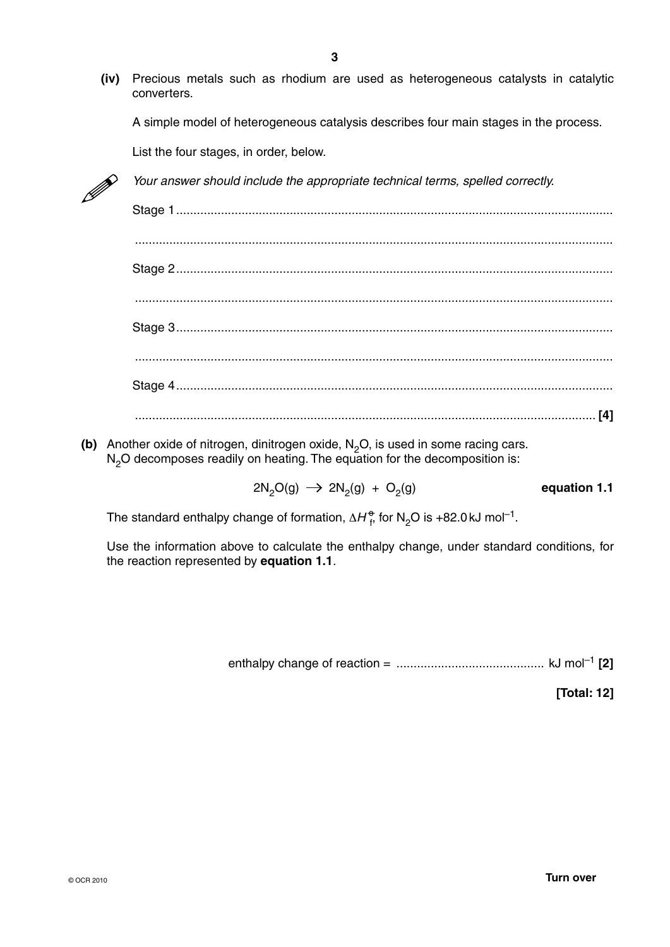**(iv)** Precious metals such as rhodium are used as heterogeneous catalysts in catalytic converters.

A simple model of heterogeneous catalysis describes four main stages in the process.

List the four stages, in order, below.



*Your answer should include the appropriate technical terms, spelled correctly.* 

- Stage 1 ............................................................................................................................... ........................................................................................................................................... Stage 2 ............................................................................................................................... ........................................................................................................................................... Stage 3 ............................................................................................................................... ........................................................................................................................................... Stage 4 ............................................................................................................................... ...................................................................................................................................... **[4]**
- **(b)** Another oxide of nitrogen, dinitrogen oxide, N<sub>2</sub>O, is used in some racing cars. N<sub>2</sub>O decomposes readily on heating. The equation for the decomposition is:

 $2N_2O(g) \rightarrow 2N_2(g) + O_2(g)$  equation 1.1

The standard enthalpy change of formation,  $\Delta H_{\text{f}}^{\text{\O}}$  for N<sub>2</sub>O is +82.0 kJ mol<sup>-1</sup>.

Use the information above to calculate the enthalpy change, under standard conditions, for the reaction represented by **equation 1.1**.

enthalpy change of reaction = ........................................... kJ mol–1 **[2]**

**[Total: 12]**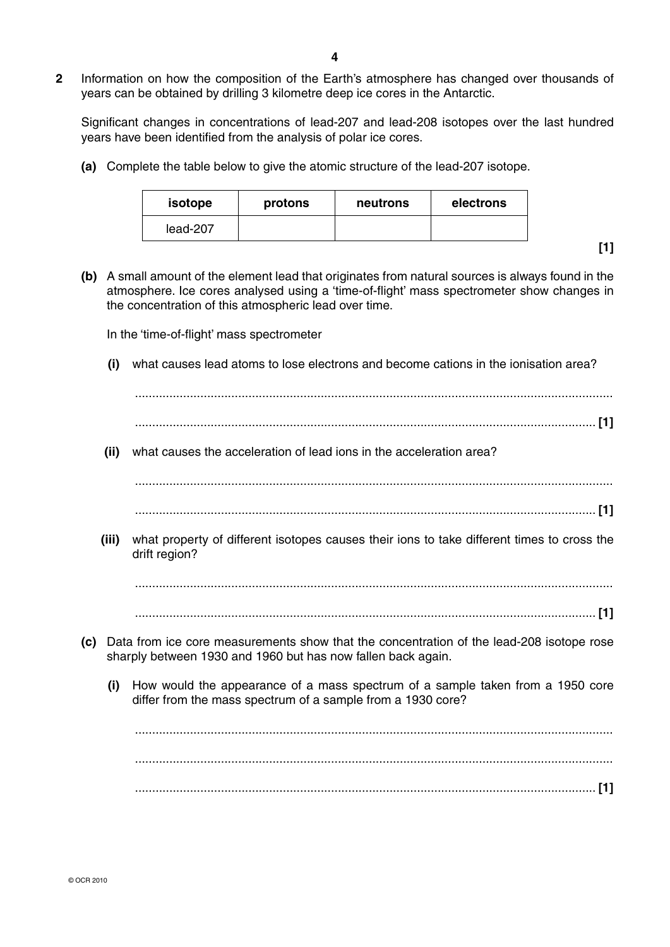**2** Information on how the composition of the Earth's atmosphere has changed over thousands of years can be obtained by drilling 3 kilometre deep ice cores in the Antarctic.

Significant changes in concentrations of lead-207 and lead-208 isotopes over the last hundred years have been identified from the analysis of polar ice cores.

 **(a)** Complete the table below to give the atomic structure of the lead-207 isotope.

| isotope  | protons | neutrons | electrons |
|----------|---------|----------|-----------|
| lead-207 |         |          |           |

**[1]**

 **(b)** A small amount of the element lead that originates from natural sources is always found in the atmosphere. Ice cores analysed using a 'time-of-flight' mass spectrometer show changes in the concentration of this atmospheric lead over time.

In the 'time-of-flight' mass spectrometer

- **(i)** what causes lead atoms to lose electrons and become cations in the ionisation area?
- ........................................................................................................................................... ...................................................................................................................................... **[1] (ii)** what causes the acceleration of lead ions in the acceleration area? ........................................................................................................................................... ...................................................................................................................................... **[1] (iii)** what property of different isotopes causes their ions to take different times to cross the drift region? ........................................................................................................................................... ...................................................................................................................................... **[1] (c)** Data from ice core measurements show that the concentration of the lead-208 isotope rose sharply between 1930 and 1960 but has now fallen back again.  **(i)** How would the appearance of a mass spectrum of a sample taken from a 1950 core differ from the mass spectrum of a sample from a 1930 core? ........................................................................................................................................... ........................................................................................................................................... ...................................................................................................................................... **[1]**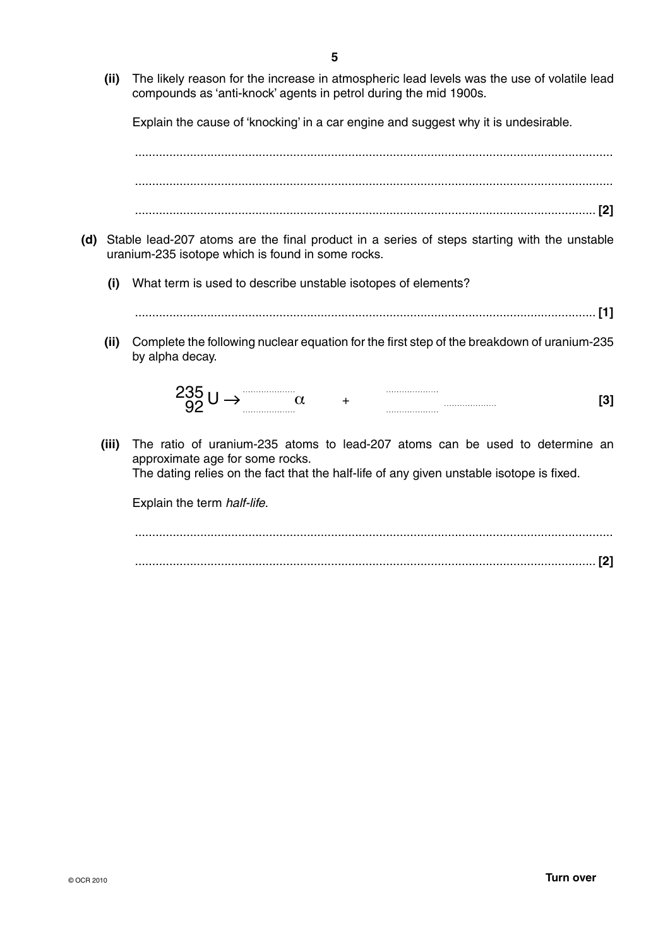**(ii)** The likely reason for the increase in atmospheric lead levels was the use of volatile lead compounds as 'anti-knock' agents in petrol during the mid 1900s.

Explain the cause of 'knocking' in a car engine and suggest why it is undesirable.

 ........................................................................................................................................... ........................................................................................................................................... ...................................................................................................................................... **[2]**

- **(d)** Stable lead-207 atoms are the final product in a series of steps starting with the unstable uranium-235 isotope which is found in some rocks.
	- **(i)** What term is used to describe unstable isotopes of elements?

...................................................................................................................................... **[1]**

 **(ii)** Complete the following nuclear equation for the first step of the breakdown of uranium-235 by alpha decay.

$$
235 \cup \rightarrow \text{...} \qquad \qquad \alpha \qquad + \qquad \text{...} \qquad \qquad [3]
$$

 **(iii)** The ratio of uranium-235 atoms to lead-207 atoms can be used to determine an approximate age for some rocks.

The dating relies on the fact that the half-life of any given unstable isotope is fixed.

Explain the term *half-life*.

 ........................................................................................................................................... ...................................................................................................................................... **[2]**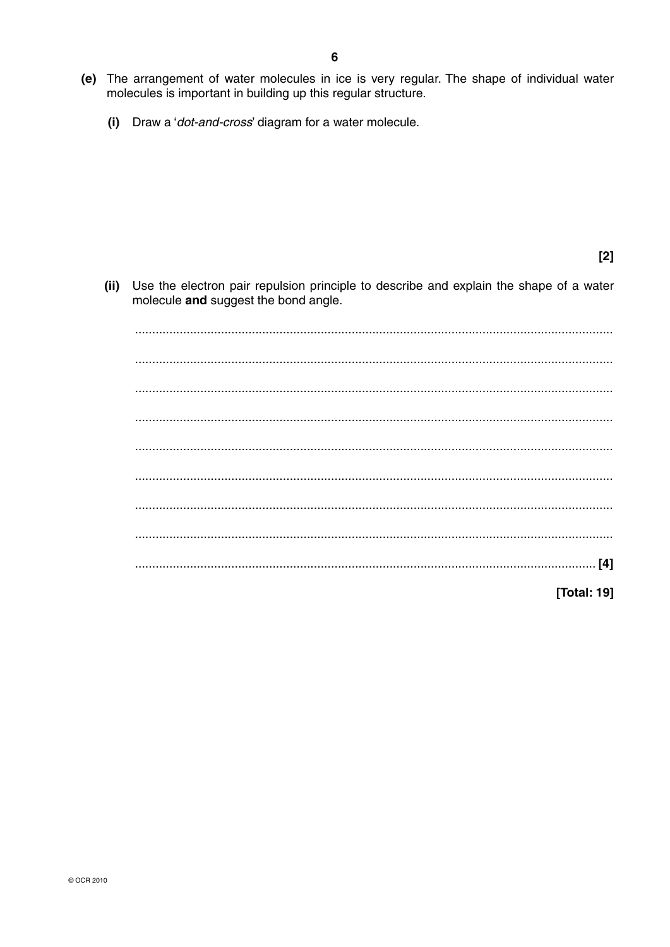- (e) The arrangement of water molecules in ice is very regular. The shape of individual water molecules is important in building up this regular structure.
	- Draw a 'dot-and-cross' diagram for a water molecule.  $(i)$

 $[2]$ 

Use the electron pair repulsion principle to describe and explain the shape of a water  $(ii)$ molecule and suggest the bond angle.

[Total: 19]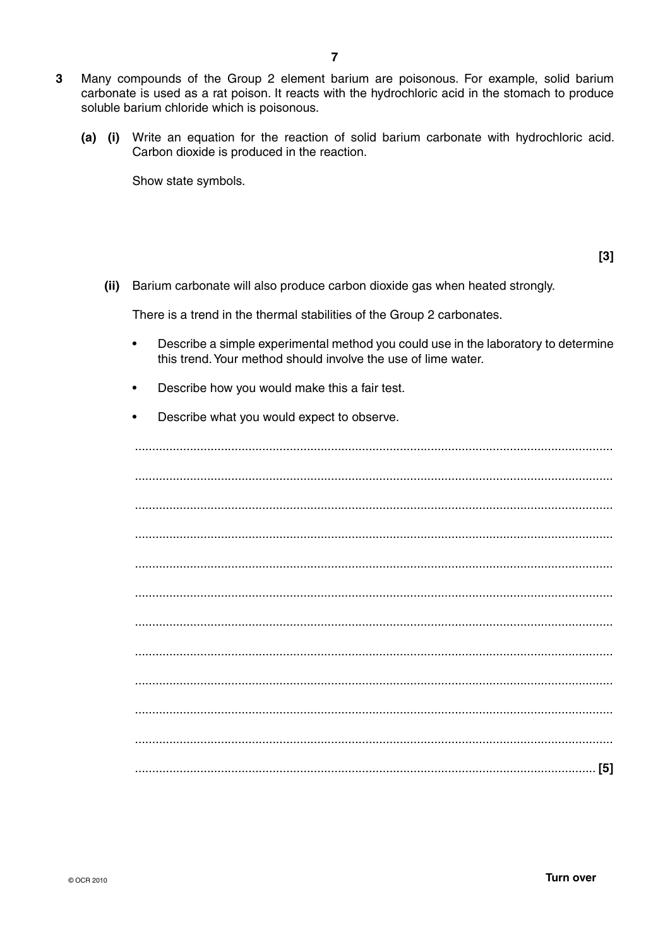- $\mathbf{3}$ Many compounds of the Group 2 element barium are poisonous. For example, solid barium carbonate is used as a rat poison. It reacts with the hydrochloric acid in the stomach to produce soluble barium chloride which is poisonous.
	- (a) (i) Write an equation for the reaction of solid barium carbonate with hydrochloric acid. Carbon dioxide is produced in the reaction.

Show state symbols.

 $[3]$ 

(ii) Barium carbonate will also produce carbon dioxide gas when heated strongly.

There is a trend in the thermal stabilities of the Group 2 carbonates.

- Describe a simple experimental method you could use in the laboratory to determine this trend. Your method should involve the use of lime water.
- $\bullet$ Describe how you would make this a fair test.
- Describe what you would expect to observe.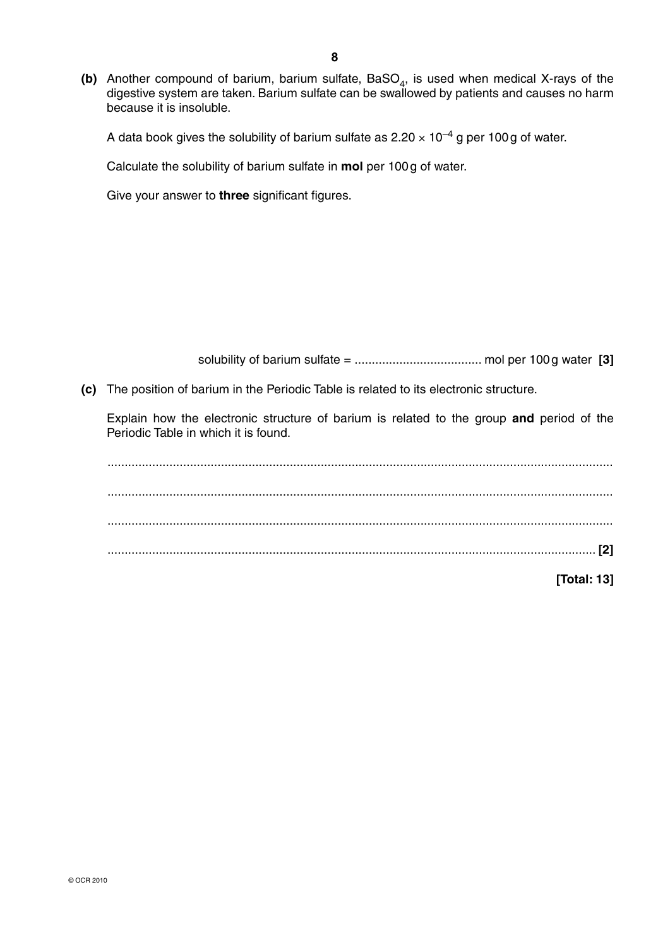(b) Another compound of barium, barium sulfate, BaSO<sub>4</sub>, is used when medical X-rays of the digestive system are taken. Barium sulfate can be swallowed by patients and causes no harm because it is insoluble.

A data book gives the solubility of barium sulfate as  $2.20 \times 10^{-4}$  g per 100 g of water.

Calculate the solubility of barium sulfate in **mol** per 100 g of water.

Give your answer to **three** significant figures.

solubility of barium sulfate = ..................................... mol per 100 g water **[3]**

 **(c)** The position of barium in the Periodic Table is related to its electronic structure.

Explain how the electronic structure of barium is related to the group **and** period of the Periodic Table in which it is found.

 ................................................................................................................................................... ................................................................................................................................................... ................................................................................................................................................... .............................................................................................................................................. **[2]**

**[Total: 13]**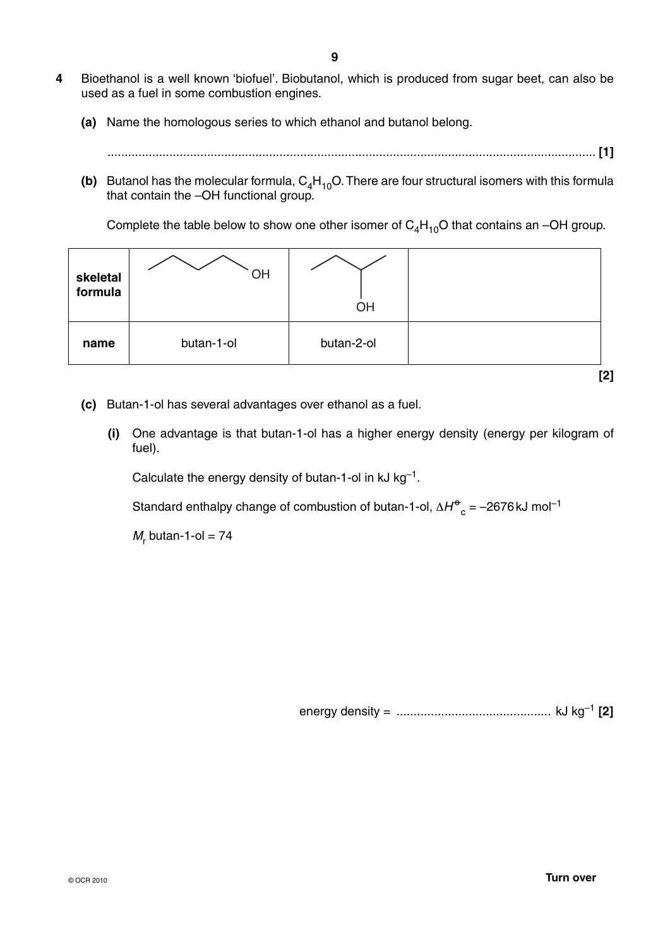- **4** Bioethanol is a well known 'biofuel'. Biobutanol, which is produced from sugar beet, can also be used as a fuel in some combustion engines.
	- **(a)** Name the homologous series to which ethanol and butanol belong.
		- .............................................................................................................................................. **[1]**
	- **(b)** Butanol has the molecular formula,  $C_4H_{10}O$ . There are four structural isomers with this formula that contain the –OH functional group.

Complete the table below to show one other isomer of  $C_4H_{10}O$  that contains an -OH group.

| skeletal<br>formula | OH         | OH         |       |
|---------------------|------------|------------|-------|
| name                | butan-1-ol | butan-2-ol |       |
|                     |            |            | $[2]$ |

- **(c)** Butan-1-ol has several advantages over ethanol as a fuel.
	- **(i)** One advantage is that butan-1-ol has a higher energy density (energy per kilogram of fuel).

Calculate the energy density of butan-1-ol in  $kJ$   $kg^{-1}$ .

Standard enthalpy change of combustion of butan-1-ol,  $\Delta H^{\Theta}_{\hspace{1ex} c}$  = –2676 kJ mol<sup>-1</sup>

 $M_r$  butan-1-ol = 74

energy density = ............................................. kJ kg–1 **[2]**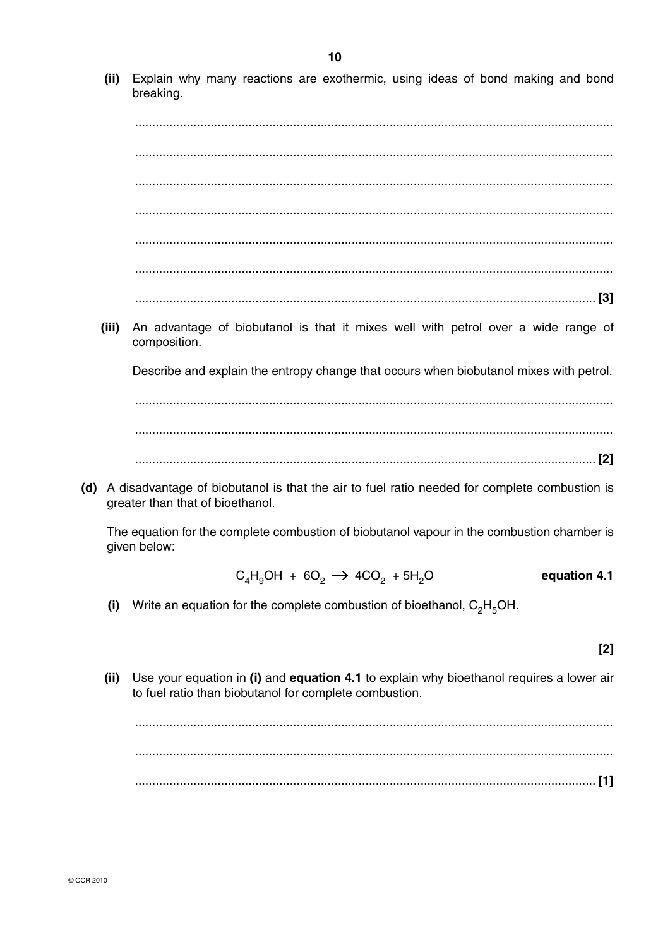(ii) Explain why many reactions are exothermic, using ideas of bond making and bond breaking.

(iii) An advantage of biobutanol is that it mixes well with petrol over a wide range of composition.

Describe and explain the entropy change that occurs when biobutanol mixes with petrol.

(d) A disadvantage of biobutanol is that the air to fuel ratio needed for complete combustion is greater than that of bioethanol.

The equation for the complete combustion of biobutanol vapour in the combustion chamber is given below:

$$
C_4H_9OH + 6O_2 \rightarrow 4CO_2 + 5H_2O \qquad \qquad \text{equation 4.1}
$$

(i) Write an equation for the complete combustion of bioethanol,  $C_2H_5OH$ .

 $[2]$ 

 $(ii)$ Use your equation in (i) and equation 4.1 to explain why bioethanol requires a lower air to fuel ratio than biobutanol for complete combustion.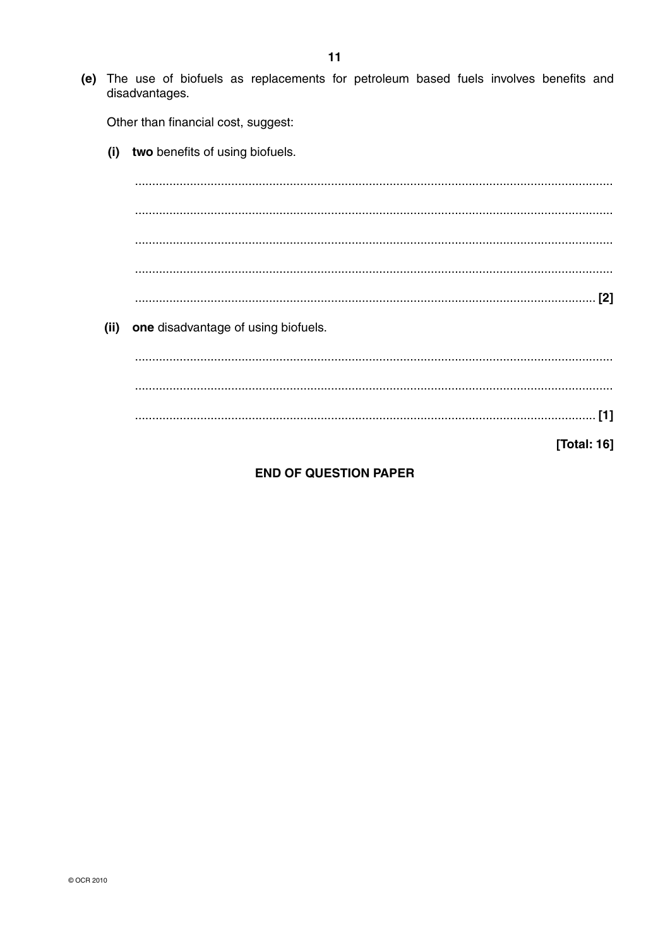(e) The use of biofuels as replacements for petroleum based fuels involves benefits and disadvantages.

Other than financial cost, suggest:

 $(i)$ two benefits of using biofuels.

(ii) one disadvantage of using biofuels.

[Total: 16]

## **END OF QUESTION PAPER**